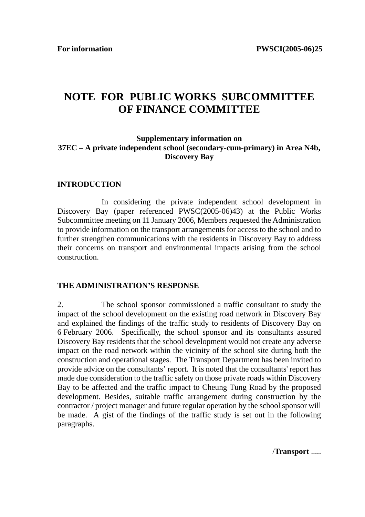# **NOTE FOR PUBLIC WORKS SUBCOMMITTEE OF FINANCE COMMITTEE**

## **Supplementary information on 37EC – A private independent school (secondary-cum-primary) in Area N4b, Discovery Bay**

#### **INTRODUCTION**

 In considering the private independent school development in Discovery Bay (paper referenced PWSC(2005-06)43) at the Public Works Subcommittee meeting on 11 January 2006, Members requested the Administration to provide information on the transport arrangements for access to the school and to further strengthen communications with the residents in Discovery Bay to address their concerns on transport and environmental impacts arising from the school construction.

#### **THE ADMINISTRATION'S RESPONSE**

2. The school sponsor commissioned a traffic consultant to study the impact of the school development on the existing road network in Discovery Bay and explained the findings of the traffic study to residents of Discovery Bay on 6 February 2006. Specifically, the school sponsor and its consultants assured Discovery Bay residents that the school development would not create any adverse impact on the road network within the vicinity of the school site during both the construction and operational stages. The Transport Department has been invited to provide advice on the consultants' report. It is noted that the consultants' report has made due consideration to the traffic safety on those private roads within Discovery Bay to be affected and the traffic impact to Cheung Tung Road by the proposed development. Besides, suitable traffic arrangement during construction by the contractor / project manager and future regular operation by the school sponsor will be made. A gist of the findings of the traffic study is set out in the following paragraphs.

/**Transport** .....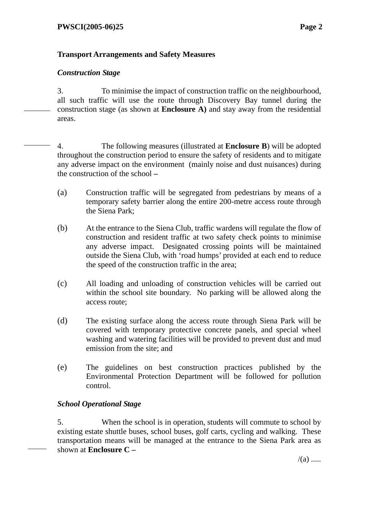# **Transport Arrangements and Safety Measures**

## *Construction Stage*

3. To minimise the impact of construction traffic on the neighbourhood, all such traffic will use the route through Discovery Bay tunnel during the construction stage (as shown at **Enclosure A)** and stay away from the residential areas.

4. The following measures (illustrated at **Enclosure B**) will be adopted throughout the construction period to ensure the safety of residents and to mitigate any adverse impact on the environment (mainly noise and dust nuisances) during the construction of the school **–**

- (a) Construction traffic will be segregated from pedestrians by means of a temporary safety barrier along the entire 200-metre access route through the Siena Park;
- (b) At the entrance to the Siena Club, traffic wardens will regulate the flow of construction and resident traffic at two safety check points to minimise any adverse impact. Designated crossing points will be maintained outside the Siena Club, with 'road humps' provided at each end to reduce the speed of the construction traffic in the area;
- (c) All loading and unloading of construction vehicles will be carried out within the school site boundary. No parking will be allowed along the access route;
- (d) The existing surface along the access route through Siena Park will be covered with temporary protective concrete panels, and special wheel washing and watering facilities will be provided to prevent dust and mud emission from the site; and
- (e) The guidelines on best construction practices published by the Environmental Protection Department will be followed for pollution control.

# *School Operational Stage*

5. When the school is in operation, students will commute to school by existing estate shuttle buses, school buses, golf carts, cycling and walking. These transportation means will be managed at the entrance to the Siena Park area as shown at **Enclosure C –**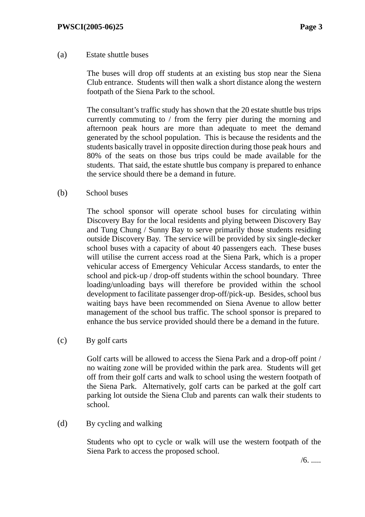## (a) Estate shuttle buses

The buses will drop off students at an existing bus stop near the Siena Club entrance. Students will then walk a short distance along the western footpath of the Siena Park to the school.

The consultant's traffic study has shown that the 20 estate shuttle bus trips currently commuting to / from the ferry pier during the morning and afternoon peak hours are more than adequate to meet the demand generated by the school population. This is because the residents and the students basically travel in opposite direction during those peak hours and 80% of the seats on those bus trips could be made available for the students. That said, the estate shuttle bus company is prepared to enhance the service should there be a demand in future.

(b) School buses

The school sponsor will operate school buses for circulating within Discovery Bay for the local residents and plying between Discovery Bay and Tung Chung / Sunny Bay to serve primarily those students residing outside Discovery Bay. The service will be provided by six single-decker school buses with a capacity of about 40 passengers each. These buses will utilise the current access road at the Siena Park, which is a proper vehicular access of Emergency Vehicular Access standards, to enter the school and pick-up / drop-off students within the school boundary. Three loading/unloading bays will therefore be provided within the school development to facilitate passenger drop-off/pick-up. Besides, school bus waiting bays have been recommended on Siena Avenue to allow better management of the school bus traffic. The school sponsor is prepared to enhance the bus service provided should there be a demand in the future.

(c) By golf carts

Golf carts will be allowed to access the Siena Park and a drop-off point / no waiting zone will be provided within the park area. Students will get off from their golf carts and walk to school using the western footpath of the Siena Park. Alternatively, golf carts can be parked at the golf cart parking lot outside the Siena Club and parents can walk their students to school.

(d) By cycling and walking

Students who opt to cycle or walk will use the western footpath of the Siena Park to access the proposed school.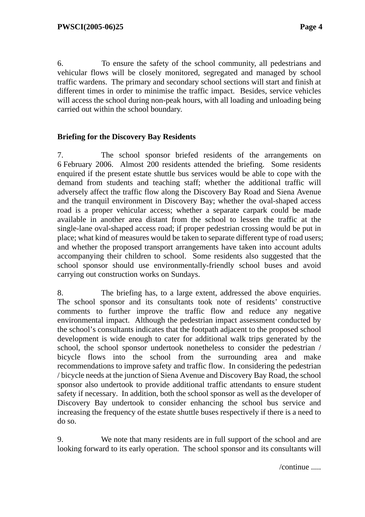6. To ensure the safety of the school community, all pedestrians and vehicular flows will be closely monitored, segregated and managed by school traffic wardens. The primary and secondary school sections will start and finish at different times in order to minimise the traffic impact. Besides, service vehicles will access the school during non-peak hours, with all loading and unloading being carried out within the school boundary.

# **Briefing for the Discovery Bay Residents**

7. The school sponsor briefed residents of the arrangements on 6 February 2006. Almost 200 residents attended the briefing. Some residents enquired if the present estate shuttle bus services would be able to cope with the demand from students and teaching staff; whether the additional traffic will adversely affect the traffic flow along the Discovery Bay Road and Siena Avenue and the tranquil environment in Discovery Bay; whether the oval-shaped access road is a proper vehicular access; whether a separate carpark could be made available in another area distant from the school to lessen the traffic at the single-lane oval-shaped access road; if proper pedestrian crossing would be put in place; what kind of measures would be taken to separate different type of road users; and whether the proposed transport arrangements have taken into account adults accompanying their children to school. Some residents also suggested that the school sponsor should use environmentally-friendly school buses and avoid carrying out construction works on Sundays.

8. The briefing has, to a large extent, addressed the above enquiries. The school sponsor and its consultants took note of residents' constructive comments to further improve the traffic flow and reduce any negative environmental impact. Although the pedestrian impact assessment conducted by the school's consultants indicates that the footpath adjacent to the proposed school development is wide enough to cater for additional walk trips generated by the school, the school sponsor undertook nonetheless to consider the pedestrian / bicycle flows into the school from the surrounding area and make recommendations to improve safety and traffic flow. In considering the pedestrian / bicycle needs at the junction of Siena Avenue and Discovery Bay Road, the school sponsor also undertook to provide additional traffic attendants to ensure student safety if necessary. In addition, both the school sponsor as well as the developer of Discovery Bay undertook to consider enhancing the school bus service and increasing the frequency of the estate shuttle buses respectively if there is a need to do so.

9. We note that many residents are in full support of the school and are looking forward to its early operation. The school sponsor and its consultants will

/continue .....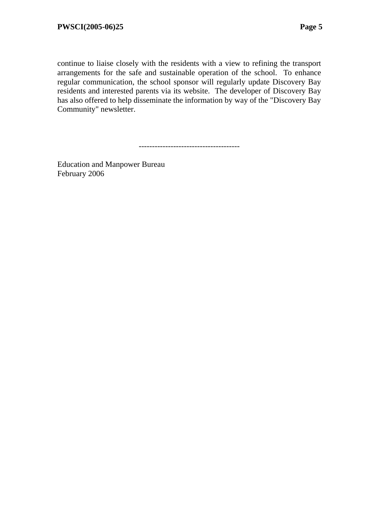continue to liaise closely with the residents with a view to refining the transport arrangements for the safe and sustainable operation of the school. To enhance regular communication, the school sponsor will regularly update Discovery Bay residents and interested parents via its website. The developer of Discovery Bay has also offered to help disseminate the information by way of the "Discovery Bay Community" newsletter.

--------------------------------------

Education and Manpower Bureau February 2006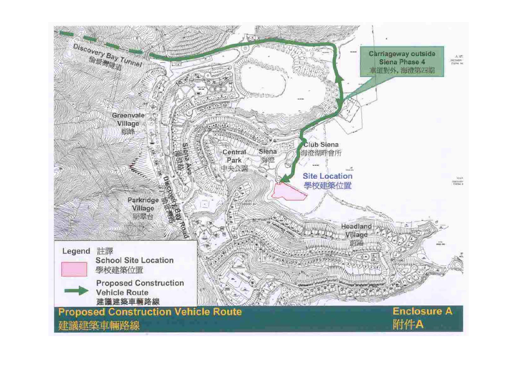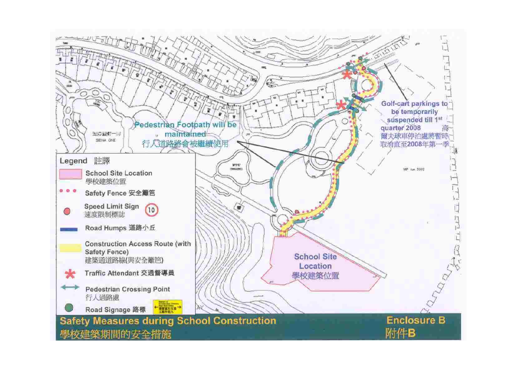